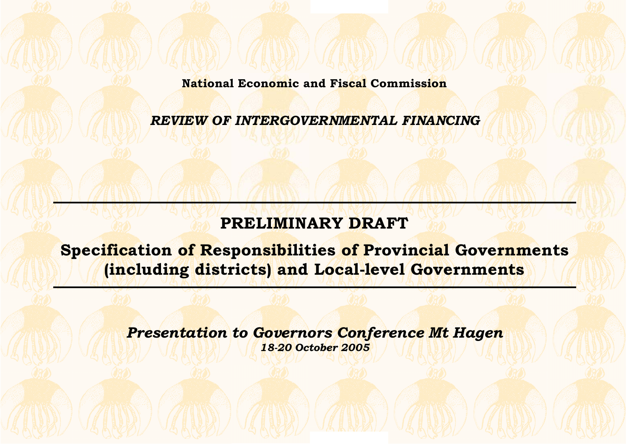**National Economic and Fiscal Commission**

*REVIEW OF INTERGOVERNMENTAL FINANCING*

# **PRELIMINARY DRAFT**

**Specification of Responsibilities of Provincial Governments (including districts) and Local-level Governments**

> *Presentation to Governors Conference Mt Hagen 18-20 October 2005*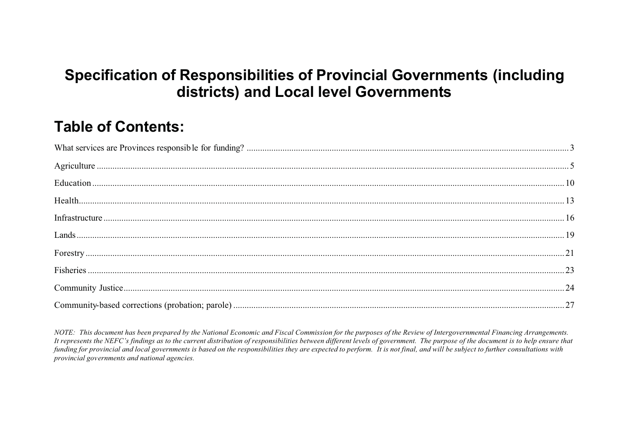## **Specification of Responsibilities of Provincial Governments (including** districts) and Local level Governments

## **Table of Contents:**

| $\frac{1}{1} \frac{1}{1} \frac{1}{1} \frac{1}{1} \frac{1}{1} \frac{1}{1} \frac{1}{1} \frac{1}{1} \frac{1}{1} \frac{1}{1} \frac{1}{1} \frac{1}{1} \frac{1}{1} \frac{1}{1} \frac{1}{1} \frac{1}{1} \frac{1}{1} \frac{1}{1} \frac{1}{1} \frac{1}{1} \frac{1}{1} \frac{1}{1} \frac{1}{1} \frac{1}{1} \frac{1}{1} \frac{1}{1} \frac{1}{1} \frac{1}{1} \frac{1}{1} \frac{1}{1} \frac{1}{1} \frac{$ |  |
|----------------------------------------------------------------------------------------------------------------------------------------------------------------------------------------------------------------------------------------------------------------------------------------------------------------------------------------------------------------------------------------------|--|
|                                                                                                                                                                                                                                                                                                                                                                                              |  |
|                                                                                                                                                                                                                                                                                                                                                                                              |  |
|                                                                                                                                                                                                                                                                                                                                                                                              |  |

NOTE: This document has been prepared by the National Economic and Fiscal Commission for the purposes of the Review of Intergovernmental Financing Arrangements. It represents the NEFC's findings as to the current distribution of responsibilities between different levels of government. The purpose of the document is to help ensure that funding for provincial and local governments is based on the responsibilities they are expected to perform. It is not final, and will be subject to further consultations with provincial governments and national agencies.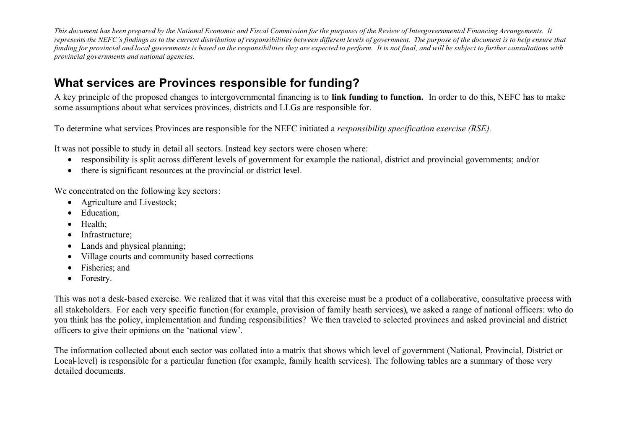### **What services are Provinces responsible for funding?**

A key principle of the proposed changes to intergovernmental financing is to **link funding to function.** In order to do this, NEFC has to make some assumptions about what services provinces, districts and LLGs are responsible for.

To determine what services Provinces are responsible for the NEFC initiated a *responsibility specification exercise (RSE).*

It was not possible to study in detail all sectors. Instead key sectors were chosen where:

- responsibility is split across different levels of government for example the national, district and provincial governments; and/or
- $\bullet$ there is significant resources at the provincial or district level.

We concentrated on the following key sectors:

- Agriculture and Livestock;
- Education;
- Health;
- Infrastructure;
- Lands and physical planning;
- Village courts and community based corrections
- Fisheries; and
- Forestry.

This was not a desk-based exercise. We realized that it was vital that this exercise must be a product of a collaborative, consultative process with all stakeholders. For each very specific function (for example, provision of family heath services), we asked a range of national officers: who do you think has the policy, implementation and funding responsibilities? We then traveled to selected provinces and asked provincial and district officers to give their opinions on the 'national view'.

The information collected about each sector was collated into a matrix that shows which level of government (National, Provincial, District or Local-level) is responsible for a particular function (for example, family health services). The following tables are a summary of those very detailed documents.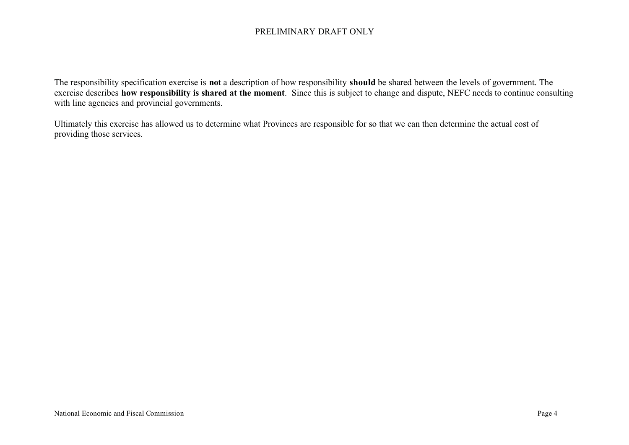The responsibility specification exercise is **not** a description of how responsibility **should** be shared between the levels of government. The exercise describes **how responsibility is shared at the moment**. Since this is subject to change and dispute, NEFC needs to continue consulting with line agencies and provincial governments.

Ultimately this exercise has allowed us to determine what Provinces are responsible for so that we can then determine the actual cost of providing those services.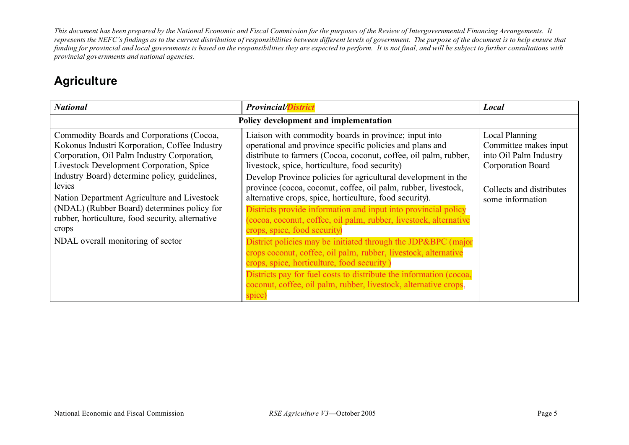### **Agriculture**

| <b>National</b>                                                                                                                                                                                                                                                                                                                                                                                                                                  | <b>Provincial/District</b>                                                                                                                                                                                                                                                                                                                                                                                                                                                                                                                                                                                                                                                                                                                                                                                                                                                                                                                        | Local                                                                                                                                  |  |
|--------------------------------------------------------------------------------------------------------------------------------------------------------------------------------------------------------------------------------------------------------------------------------------------------------------------------------------------------------------------------------------------------------------------------------------------------|---------------------------------------------------------------------------------------------------------------------------------------------------------------------------------------------------------------------------------------------------------------------------------------------------------------------------------------------------------------------------------------------------------------------------------------------------------------------------------------------------------------------------------------------------------------------------------------------------------------------------------------------------------------------------------------------------------------------------------------------------------------------------------------------------------------------------------------------------------------------------------------------------------------------------------------------------|----------------------------------------------------------------------------------------------------------------------------------------|--|
|                                                                                                                                                                                                                                                                                                                                                                                                                                                  | Policy development and implementation                                                                                                                                                                                                                                                                                                                                                                                                                                                                                                                                                                                                                                                                                                                                                                                                                                                                                                             |                                                                                                                                        |  |
| Commodity Boards and Corporations (Cocoa,<br>Kokonus Industri Korporation, Coffee Industry<br>Corporation, Oil Palm Industry Corporation,<br>Livestock Development Corporation, Spice<br>Industry Board) determine policy, guidelines,<br>levies<br>Nation Department Agriculture and Livestock<br>(NDAL) (Rubber Board) determines policy for<br>rubber, horticulture, food security, alternative<br>crops<br>NDAL overall monitoring of sector | Liaison with commodity boards in province; input into<br>operational and province specific policies and plans and<br>distribute to farmers (Cocoa, coconut, coffee, oil palm, rubber,<br>livestock, spice, horticulture, food security)<br>Develop Province policies for agricultural development in the<br>province (cocoa, coconut, coffee, oil palm, rubber, livestock,<br>alternative crops, spice, horticulture, food security).<br>Districts provide information and input into provincial policy<br>(cocoa, coconut, coffee, oil palm, rubber, livestock, alternative<br>crops, spice, food security)<br>District policies may be initiated through the JDP&BPC (major<br>crops coconut, coffee, oil palm, rubber, livestock, alternative<br>crops, spice, horticulture, food security)<br>Districts pay for fuel costs to distribute the information (cocoa,<br>coconut, coffee, oil palm, rubber, livestock, alternative crops,<br>spice | Local Planning<br>Committee makes input<br>into Oil Palm Industry<br>Corporation Board<br>Collects and distributes<br>some information |  |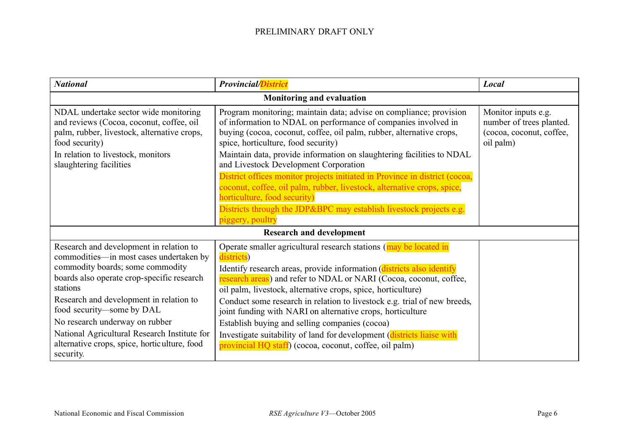| <b>National</b>                                                                                                                                                                                                                                                                                                                                                                                         | <b>Provincial/District</b>                                                                                                                                                                                                                                                                                                                                                                                                                                                                                                                                                                                                                                 | Local                                                                                    |
|---------------------------------------------------------------------------------------------------------------------------------------------------------------------------------------------------------------------------------------------------------------------------------------------------------------------------------------------------------------------------------------------------------|------------------------------------------------------------------------------------------------------------------------------------------------------------------------------------------------------------------------------------------------------------------------------------------------------------------------------------------------------------------------------------------------------------------------------------------------------------------------------------------------------------------------------------------------------------------------------------------------------------------------------------------------------------|------------------------------------------------------------------------------------------|
| Monitoring and evaluation                                                                                                                                                                                                                                                                                                                                                                               |                                                                                                                                                                                                                                                                                                                                                                                                                                                                                                                                                                                                                                                            |                                                                                          |
| NDAL undertake sector wide monitoring<br>and reviews (Cocoa, coconut, coffee, oil<br>palm, rubber, livestock, alternative crops,<br>food security)<br>In relation to livestock, monitors<br>slaughtering facilities                                                                                                                                                                                     | Program monitoring; maintain data; advise on compliance; provision<br>of information to NDAL on performance of companies involved in<br>buying (cocoa, coconut, coffee, oil palm, rubber, alternative crops,<br>spice, horticulture, food security)<br>Maintain data, provide information on slaughtering facilities to NDAL<br>and Livestock Development Corporation<br>District offices monitor projects initiated in Province in district (cocoa,<br>coconut, coffee, oil palm, rubber, livestock, alternative crops, spice,<br>horticulture, food security)<br>Districts through the JDP&BPC may establish livestock projects e.g.<br>piggery, poultry | Monitor inputs e.g.<br>number of trees planted.<br>(cocoa, coconut, coffee,<br>oil palm) |
| <b>Research and development</b>                                                                                                                                                                                                                                                                                                                                                                         |                                                                                                                                                                                                                                                                                                                                                                                                                                                                                                                                                                                                                                                            |                                                                                          |
| Research and development in relation to<br>commodities—in most cases undertaken by<br>commodity boards; some commodity<br>boards also operate crop-specific research<br>stations<br>Research and development in relation to<br>food security-some by DAL<br>No research underway on rubber<br>National Agricultural Research Institute for<br>alternative crops, spice, horticulture, food<br>security. | Operate smaller agricultural research stations (may be located in<br>districts)<br>Identify research areas, provide information (districts also identify<br>research areas) and refer to NDAL or NARI (Cocoa, coconut, coffee,<br>oil palm, livestock, alternative crops, spice, horticulture)<br>Conduct some research in relation to livestock e.g. trial of new breeds,<br>joint funding with NARI on alternative crops, horticulture<br>Establish buying and selling companies (cocoa)<br>Investigate suitability of land for development (districts liaise with<br>provincial HQ staff) (cocoa, coconut, coffee, oil palm)                            |                                                                                          |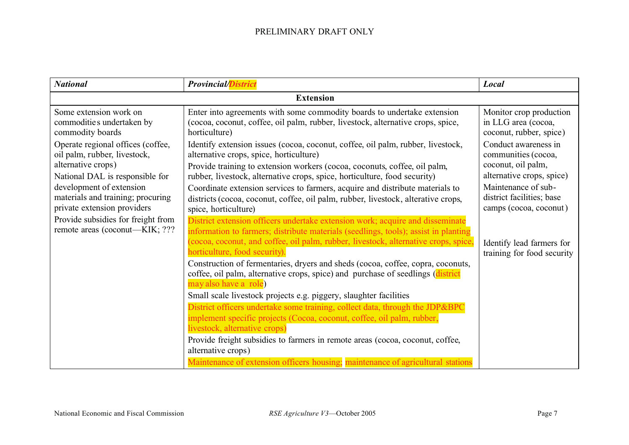| <b>National</b>                                                                                                                                                                                                            | <b>Provincial/District</b>                                                                                                                                                                                                                                                                                                                                                                                                                                                                                                                                                                                                                                                                                                                                                                                                                                                                                                                            | Local                                                                                                                                                                        |  |
|----------------------------------------------------------------------------------------------------------------------------------------------------------------------------------------------------------------------------|-------------------------------------------------------------------------------------------------------------------------------------------------------------------------------------------------------------------------------------------------------------------------------------------------------------------------------------------------------------------------------------------------------------------------------------------------------------------------------------------------------------------------------------------------------------------------------------------------------------------------------------------------------------------------------------------------------------------------------------------------------------------------------------------------------------------------------------------------------------------------------------------------------------------------------------------------------|------------------------------------------------------------------------------------------------------------------------------------------------------------------------------|--|
|                                                                                                                                                                                                                            | <b>Extension</b>                                                                                                                                                                                                                                                                                                                                                                                                                                                                                                                                                                                                                                                                                                                                                                                                                                                                                                                                      |                                                                                                                                                                              |  |
| Some extension work on<br>commodities undertaken by<br>commodity boards                                                                                                                                                    | Enter into agreements with some commodity boards to undertake extension<br>(cocoa, coconut, coffee, oil palm, rubber, livestock, alternative crops, spice,<br>horticulture)                                                                                                                                                                                                                                                                                                                                                                                                                                                                                                                                                                                                                                                                                                                                                                           | Monitor crop production<br>in LLG area (cocoa,<br>coconut, rubber, spice)                                                                                                    |  |
| Operate regional offices (coffee,<br>oil palm, rubber, livestock,<br>alternative crops)<br>National DAL is responsible for<br>development of extension<br>materials and training; procuring<br>private extension providers | Identify extension issues (cocoa, coconut, coffee, oil palm, rubber, livestock,<br>alternative crops, spice, horticulture)<br>Provide training to extension workers (cocoa, coconuts, coffee, oil palm,<br>rubber, livestock, alternative crops, spice, horticulture, food security)<br>Coordinate extension services to farmers, acquire and distribute materials to<br>districts (cocoa, coconut, coffee, oil palm, rubber, livestock, alterative crops,<br>spice, horticulture)                                                                                                                                                                                                                                                                                                                                                                                                                                                                    | Conduct awareness in<br>communities (cocoa,<br>coconut, oil palm,<br>alternative crops, spice)<br>Maintenance of sub-<br>district facilities; base<br>camps (cocoa, coconut) |  |
| Provide subsidies for freight from<br>remote areas (coconut—KIK; ???                                                                                                                                                       | District extension officers undertake extension work; acquire and disseminate<br>information to farmers; distribute materials (seedlings, tools); assist in planting<br>(cocoa, coconut, and coffee, oil palm, rubber, livestock, alternative crops, spice,<br>horticulture, food security).<br>Construction of fermentaries, dryers and sheds (cocoa, coffee, copra, coconuts,<br>coffee, oil palm, alternative crops, spice) and purchase of seedlings (district<br>may also have a role)<br>Small scale livestock projects e.g. piggery, slaughter facilities<br>District officers undertake some training, collect data, through the JDP&BPC<br>implement specific projects (Cocoa, coconut, coffee, oil palm, rubber,<br>livestock, alternative crops)<br>Provide freight subsidies to farmers in remote areas (cocoa, coconut, coffee,<br>alternative crops)<br>Maintenance of extension officers housing; maintenance of agricultural stations | Identify lead farmers for<br>training for food security                                                                                                                      |  |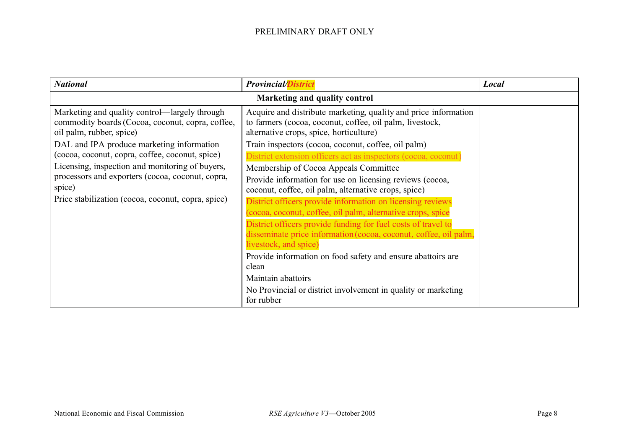| <b>National</b>                                                                                                               | <b>Provincial/District</b>                                                                                                                                             | Local |
|-------------------------------------------------------------------------------------------------------------------------------|------------------------------------------------------------------------------------------------------------------------------------------------------------------------|-------|
|                                                                                                                               | Marketing and quality control                                                                                                                                          |       |
| Marketing and quality control—largely through<br>commodity boards (Cocoa, coconut, copra, coffee,<br>oil palm, rubber, spice) | Acquire and distribute marketing, quality and price information<br>to farmers (cocoa, coconut, coffee, oil palm, livestock,<br>alternative crops, spice, horticulture) |       |
| DAL and IPA produce marketing information                                                                                     | Train inspectors (cocoa, coconut, coffee, oil palm)                                                                                                                    |       |
| (cocoa, coconut, copra, coffee, coconut, spice)                                                                               | District extension officers act as inspectors (cocoa, coconut)                                                                                                         |       |
| Licensing, inspection and monitoring of buyers,                                                                               | Membership of Cocoa Appeals Committee                                                                                                                                  |       |
| processors and exporters (cocoa, coconut, copra,<br>spice)<br>Price stabilization (cocoa, coconut, copra, spice)              | Provide information for use on licensing reviews (cocoa,<br>coconut, coffee, oil palm, alternative crops, spice)                                                       |       |
|                                                                                                                               | District officers provide information on licensing reviews<br>(cocoa, coconut, coffee, oil palm, alternative crops, spice                                              |       |
|                                                                                                                               | District officers provide funding for fuel costs of travel to                                                                                                          |       |
|                                                                                                                               | disseminate price information (cocoa, coconut, coffee, oil palm,<br>livestock, and spice)                                                                              |       |
|                                                                                                                               | Provide information on food safety and ensure abattoirs are<br>clean                                                                                                   |       |
|                                                                                                                               | Maintain abattoirs                                                                                                                                                     |       |
|                                                                                                                               | No Provincial or district involvement in quality or marketing<br>for rubber                                                                                            |       |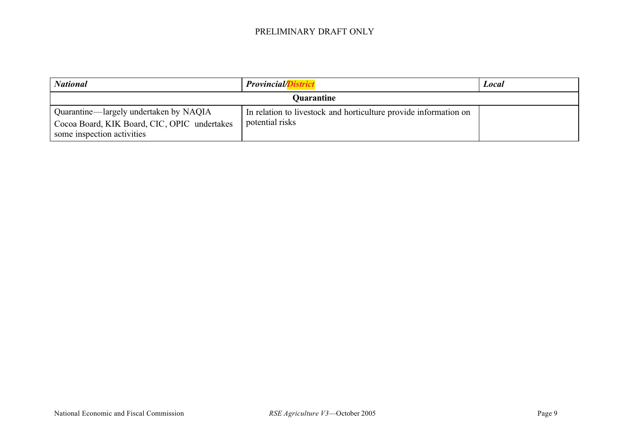| <b>National</b>                                                                                                      | <b>Provincial/D</b>                                                                 | Local |
|----------------------------------------------------------------------------------------------------------------------|-------------------------------------------------------------------------------------|-------|
| <b>Quarantine</b>                                                                                                    |                                                                                     |       |
| Quarantine—largely undertaken by NAQIA<br>Cocoa Board, KIK Board, CIC, OPIC undertakes<br>some inspection activities | In relation to livestock and horticulture provide information on<br>potential risks |       |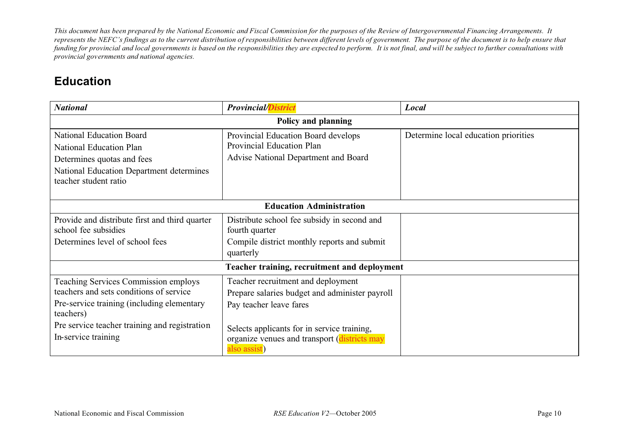### **Education**

| <b>National</b>                                                                                                                                                                                                           | <b>Provincial/District</b>                                                                                                                                                                                                     | Local                                |  |
|---------------------------------------------------------------------------------------------------------------------------------------------------------------------------------------------------------------------------|--------------------------------------------------------------------------------------------------------------------------------------------------------------------------------------------------------------------------------|--------------------------------------|--|
| Policy and planning                                                                                                                                                                                                       |                                                                                                                                                                                                                                |                                      |  |
| <b>National Education Board</b><br>National Education Plan<br>Determines quotas and fees<br>National Education Department determines<br>teacher student ratio                                                             | Provincial Education Board develops<br>Provincial Education Plan<br>Advise National Department and Board                                                                                                                       | Determine local education priorities |  |
|                                                                                                                                                                                                                           | <b>Education Administration</b>                                                                                                                                                                                                |                                      |  |
| Provide and distribute first and third quarter<br>school fee subsidies<br>Determines level of school fees                                                                                                                 | Distribute school fee subsidy in second and<br>fourth quarter<br>Compile district monthly reports and submit<br>quarterly                                                                                                      |                                      |  |
|                                                                                                                                                                                                                           | Teacher training, recruitment and deployment                                                                                                                                                                                   |                                      |  |
| <b>Teaching Services Commission employs</b><br>teachers and sets conditions of service<br>Pre-service training (including elementary<br>teachers)<br>Pre service teacher training and registration<br>In-service training | Teacher recruitment and deployment<br>Prepare salaries budget and administer payroll<br>Pay teacher leave fares<br>Selects applicants for in service training,<br>organize venues and transport (districts may<br>also assist) |                                      |  |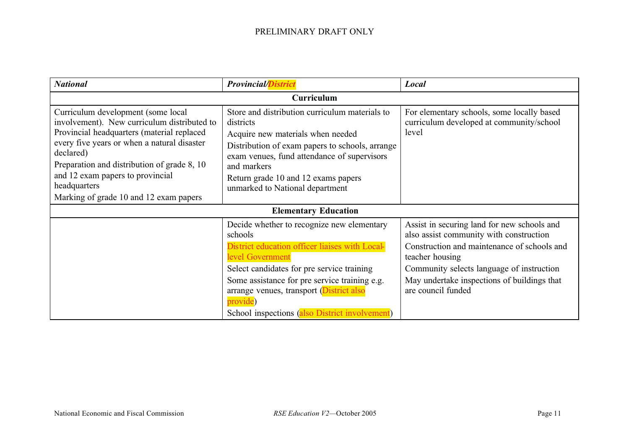| <b>National</b>                                                                                                                                                                                                                                                                                                                          | <b>Provincial/District</b>                                                                                                                                                                                                                                                                                                           | Local                                                                                                                                                                                                                                                                      |  |
|------------------------------------------------------------------------------------------------------------------------------------------------------------------------------------------------------------------------------------------------------------------------------------------------------------------------------------------|--------------------------------------------------------------------------------------------------------------------------------------------------------------------------------------------------------------------------------------------------------------------------------------------------------------------------------------|----------------------------------------------------------------------------------------------------------------------------------------------------------------------------------------------------------------------------------------------------------------------------|--|
| <b>Curriculum</b>                                                                                                                                                                                                                                                                                                                        |                                                                                                                                                                                                                                                                                                                                      |                                                                                                                                                                                                                                                                            |  |
| Curriculum development (some local<br>involvement). New curriculum distributed to<br>Provincial headquarters (material replaced<br>every five years or when a natural disaster<br>declared)<br>Preparation and distribution of grade 8, 10<br>and 12 exam papers to provincial<br>headquarters<br>Marking of grade 10 and 12 exam papers | Store and distribution curriculum materials to<br>districts<br>Acquire new materials when needed<br>Distribution of exam papers to schools, arrange<br>exam venues, fund attendance of supervisors<br>and markers<br>Return grade 10 and 12 exams papers<br>unmarked to National department                                          | For elementary schools, some locally based<br>curriculum developed at community/school<br>level                                                                                                                                                                            |  |
|                                                                                                                                                                                                                                                                                                                                          | <b>Elementary Education</b>                                                                                                                                                                                                                                                                                                          |                                                                                                                                                                                                                                                                            |  |
|                                                                                                                                                                                                                                                                                                                                          | Decide whether to recognize new elementary<br>schools<br>District education officer liaises with Local-<br>level Government<br>Select candidates for pre service training<br>Some assistance for pre service training e.g.<br>arrange venues, transport (District also<br>provide)<br>School inspections (also District involvement) | Assist in securing land for new schools and<br>also assist community with construction<br>Construction and maintenance of schools and<br>teacher housing<br>Community selects language of instruction<br>May undertake inspections of buildings that<br>are council funded |  |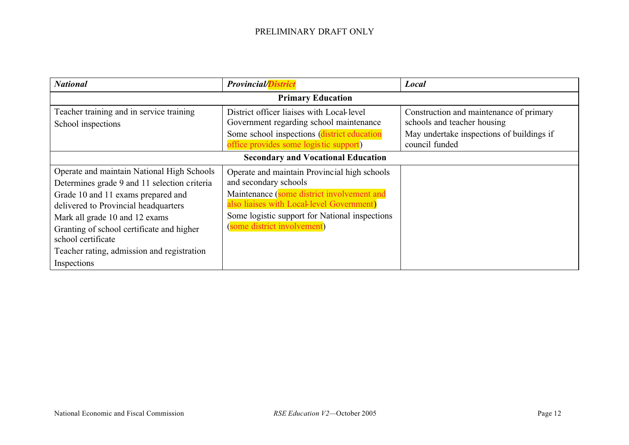| <b>National</b>                                                                                                                                                                                                                                                                                                                            | <b>Provincial/District</b>                                                                                                                                                                                                                        | Local                                                                                                               |  |
|--------------------------------------------------------------------------------------------------------------------------------------------------------------------------------------------------------------------------------------------------------------------------------------------------------------------------------------------|---------------------------------------------------------------------------------------------------------------------------------------------------------------------------------------------------------------------------------------------------|---------------------------------------------------------------------------------------------------------------------|--|
|                                                                                                                                                                                                                                                                                                                                            | <b>Primary Education</b>                                                                                                                                                                                                                          |                                                                                                                     |  |
| Teacher training and in service training<br>School inspections                                                                                                                                                                                                                                                                             | District officer liaises with Local level<br>Government regarding school maintenance<br>Some school inspections (district education                                                                                                               | Construction and maintenance of primary<br>schools and teacher housing<br>May undertake inspections of buildings if |  |
|                                                                                                                                                                                                                                                                                                                                            | office provides some logistic support)                                                                                                                                                                                                            | council funded                                                                                                      |  |
| <b>Secondary and Vocational Education</b>                                                                                                                                                                                                                                                                                                  |                                                                                                                                                                                                                                                   |                                                                                                                     |  |
| Operate and maintain National High Schools<br>Determines grade 9 and 11 selection criteria<br>Grade 10 and 11 exams prepared and<br>delivered to Provincial headquarters<br>Mark all grade 10 and 12 exams<br>Granting of school certificate and higher<br>school certificate<br>Teacher rating, admission and registration<br>Inspections | Operate and maintain Provincial high schools<br>and secondary schools<br>Maintenance (some district involvement and<br>also liaises with Local-level Government)<br>Some logistic support for National inspections<br>(some district involvement) |                                                                                                                     |  |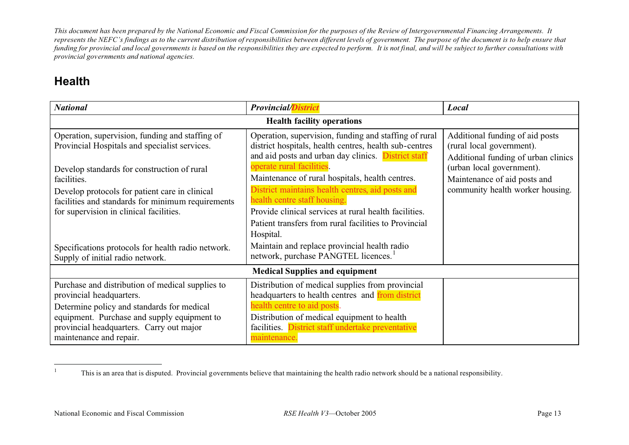### **Health**

| <b>National</b>                                                                                                                                | <b>Provincial/District</b>                                                                                                                                             | Local                                                                                               |  |
|------------------------------------------------------------------------------------------------------------------------------------------------|------------------------------------------------------------------------------------------------------------------------------------------------------------------------|-----------------------------------------------------------------------------------------------------|--|
|                                                                                                                                                | <b>Health facility operations</b>                                                                                                                                      |                                                                                                     |  |
| Operation, supervision, funding and staffing of<br>Provincial Hospitals and specialist services.                                               | Operation, supervision, funding and staffing of rural<br>district hospitals, health centres, health sub-centres<br>and aid posts and urban day clinics. District staff | Additional funding of aid posts<br>(rural local government).<br>Additional funding of urban clinics |  |
| Develop standards for construction of rural<br>facilities.                                                                                     | operate rural facilities.<br>Maintenance of rural hospitals, health centres.                                                                                           | (urban local government).<br>Maintenance of aid posts and                                           |  |
| Develop protocols for patient care in clinical<br>facilities and standards for minimum requirements<br>for supervision in clinical facilities. | District maintains health centres, aid posts and<br>health centre staff housing.<br>Provide clinical services at rural health facilities.                              | community health worker housing.                                                                    |  |
|                                                                                                                                                | Patient transfers from rural facilities to Provincial<br>Hospital.                                                                                                     |                                                                                                     |  |
| Specifications protocols for health radio network.<br>Supply of initial radio network.                                                         | Maintain and replace provincial health radio<br>network, purchase PANGTEL licences. <sup>1</sup>                                                                       |                                                                                                     |  |
| <b>Medical Supplies and equipment</b>                                                                                                          |                                                                                                                                                                        |                                                                                                     |  |
| Purchase and distribution of medical supplies to<br>provincial headquarters.                                                                   | Distribution of medical supplies from provincial<br>headquarters to health centres and from district                                                                   |                                                                                                     |  |
| Determine policy and standards for medical<br>equipment. Purchase and supply equipment to<br>provincial headquarters. Carry out major          | health centre to aid posts.<br>Distribution of medical equipment to health<br>facilities. District staff undertake preventative                                        |                                                                                                     |  |
| maintenance and repair.                                                                                                                        | maintenance.                                                                                                                                                           |                                                                                                     |  |

<sup>1</sup>This is an area that is disputed. Provincial governments believe that maintaining the health radio network should be a national responsibility.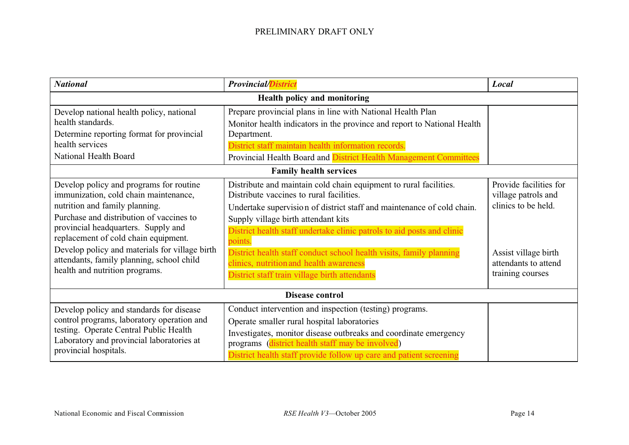| <b>National</b>                                                                                                                                                                                                                                                                                                                                                                | <b>Provincial/District</b>                                                                                                                                                                                                                                                                                                                                                                                                                                                             | Local                                                                                                                                    |
|--------------------------------------------------------------------------------------------------------------------------------------------------------------------------------------------------------------------------------------------------------------------------------------------------------------------------------------------------------------------------------|----------------------------------------------------------------------------------------------------------------------------------------------------------------------------------------------------------------------------------------------------------------------------------------------------------------------------------------------------------------------------------------------------------------------------------------------------------------------------------------|------------------------------------------------------------------------------------------------------------------------------------------|
|                                                                                                                                                                                                                                                                                                                                                                                | Health policy and monitoring                                                                                                                                                                                                                                                                                                                                                                                                                                                           |                                                                                                                                          |
| Develop national health policy, national<br>health standards.<br>Determine reporting format for provincial<br>health services<br>National Health Board                                                                                                                                                                                                                         | Prepare provincial plans in line with National Health Plan<br>Monitor health indicators in the province and report to National Health<br>Department.<br>District staff maintain health information records.<br>Provincial Health Board and District Health Management Committees                                                                                                                                                                                                       |                                                                                                                                          |
|                                                                                                                                                                                                                                                                                                                                                                                | <b>Family health services</b>                                                                                                                                                                                                                                                                                                                                                                                                                                                          |                                                                                                                                          |
| Develop policy and programs for routine<br>immunization, cold chain maintenance,<br>nutrition and family planning.<br>Purchase and distribution of vaccines to<br>provincial headquarters. Supply and<br>replacement of cold chain equipment.<br>Develop policy and materials for village birth<br>attendants, family planning, school child<br>health and nutrition programs. | Distribute and maintain cold chain equipment to rural facilities.<br>Distribute vaccines to rural facilities.<br>Undertake supervision of district staff and maintenance of cold chain.<br>Supply village birth attendant kits<br>District health staff undertake clinic patrols to aid posts and clinic<br>points.<br>District health staff conduct school health visits, family planning<br>clinics, nutrition and health awareness<br>District staff train village birth attendants | Provide facilities for<br>village patrols and<br>clinics to be held.<br>Assist village birth<br>attendants to attend<br>training courses |
| Disease control                                                                                                                                                                                                                                                                                                                                                                |                                                                                                                                                                                                                                                                                                                                                                                                                                                                                        |                                                                                                                                          |
| Develop policy and standards for disease<br>control programs, laboratory operation and<br>testing. Operate Central Public Health<br>Laboratory and provincial laboratories at<br>provincial hospitals.                                                                                                                                                                         | Conduct intervention and inspection (testing) programs.<br>Operate smaller rural hospital laboratories<br>Investigates, monitor disease outbreaks and coordinate emergency<br>programs (district health staff may be involved)<br>District health staff provide follow up care and patient screening                                                                                                                                                                                   |                                                                                                                                          |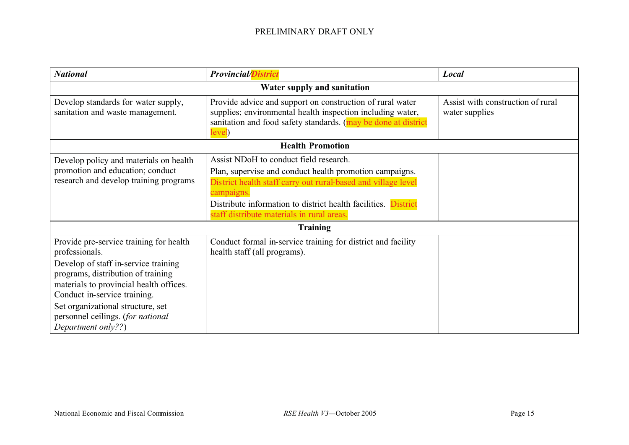| <b>National</b>                                                                                                                                                                                                                                                                                                    | <b>Provincial/District</b>                                                                                                                                                                                                                                                                       | Local                                               |
|--------------------------------------------------------------------------------------------------------------------------------------------------------------------------------------------------------------------------------------------------------------------------------------------------------------------|--------------------------------------------------------------------------------------------------------------------------------------------------------------------------------------------------------------------------------------------------------------------------------------------------|-----------------------------------------------------|
|                                                                                                                                                                                                                                                                                                                    | Water supply and sanitation                                                                                                                                                                                                                                                                      |                                                     |
| Develop standards for water supply,<br>sanitation and waste management.                                                                                                                                                                                                                                            | Provide advice and support on construction of rural water<br>supplies; environmental health inspection including water,<br>sanitation and food safety standards. (may be done at district<br>level)                                                                                              | Assist with construction of rural<br>water supplies |
|                                                                                                                                                                                                                                                                                                                    | <b>Health Promotion</b>                                                                                                                                                                                                                                                                          |                                                     |
| Develop policy and materials on health<br>promotion and education; conduct<br>research and develop training programs                                                                                                                                                                                               | Assist NDoH to conduct field research.<br>Plan, supervise and conduct health promotion campaigns.<br>District health staff carry out rural-based and village level<br>campaigns.<br>Distribute information to district health facilities. District<br>staff distribute materials in rural areas. |                                                     |
|                                                                                                                                                                                                                                                                                                                    | <b>Training</b>                                                                                                                                                                                                                                                                                  |                                                     |
| Provide pre-service training for health<br>professionals.<br>Develop of staff in-service training<br>programs, distribution of training<br>materials to provincial health offices.<br>Conduct in-service training.<br>Set organizational structure, set<br>personnel ceilings. (for national<br>Department only??) | Conduct formal in-service training for district and facility<br>health staff (all programs).                                                                                                                                                                                                     |                                                     |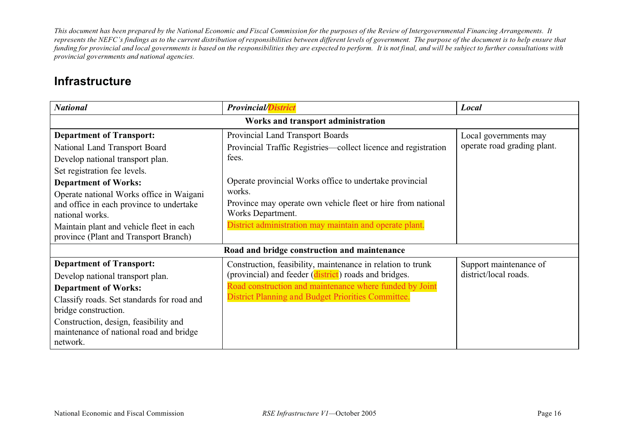### **Infrastructure**

| <b>National</b>                                                                                         | <b>Provincial/District</b>                                                                  | Local                       |
|---------------------------------------------------------------------------------------------------------|---------------------------------------------------------------------------------------------|-----------------------------|
|                                                                                                         | Works and transport administration                                                          |                             |
| <b>Department of Transport:</b>                                                                         | Provincial Land Transport Boards                                                            | Local governments may       |
| National Land Transport Board                                                                           | Provincial Traffic Registries—collect licence and registration                              | operate road grading plant. |
| Develop national transport plan.                                                                        | fees.                                                                                       |                             |
| Set registration fee levels.                                                                            |                                                                                             |                             |
| <b>Department of Works:</b>                                                                             | Operate provincial Works office to undertake provincial                                     |                             |
| Operate national Works office in Waigani<br>and office in each province to undertake<br>national works. | works.<br>Province may operate own vehicle fleet or hire from national<br>Works Department. |                             |
| Maintain plant and vehicle fleet in each<br>province (Plant and Transport Branch)                       | District administration may maintain and operate plant.                                     |                             |
| Road and bridge construction and maintenance                                                            |                                                                                             |                             |
| <b>Department of Transport:</b>                                                                         | Construction, feasibility, maintenance in relation to trunk                                 | Support maintenance of      |
| Develop national transport plan.                                                                        | (provincial) and feeder (district) roads and bridges.                                       | district/local roads.       |
| <b>Department of Works:</b>                                                                             | Road construction and maintenance where funded by Joint                                     |                             |
| Classify roads. Set standards for road and                                                              | District Planning and Budget Priorities Committee.                                          |                             |
| bridge construction.                                                                                    |                                                                                             |                             |
| Construction, design, feasibility and<br>maintenance of national road and bridge<br>network.            |                                                                                             |                             |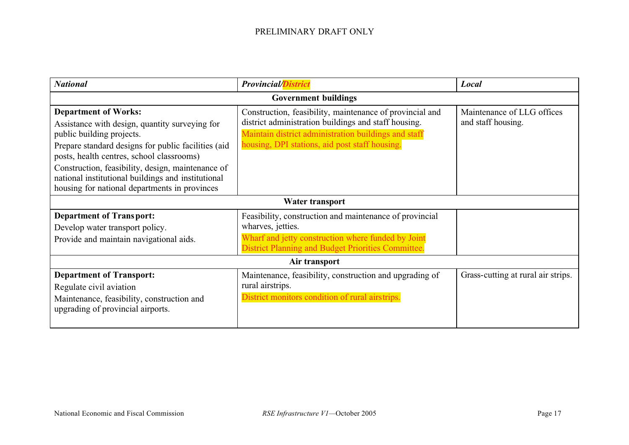| <b>National</b>                                                                                                                                                                                                                                                                                                           | <b>Provincial/District</b>                                                                                                                                                                                                 | Local                                            |  |
|---------------------------------------------------------------------------------------------------------------------------------------------------------------------------------------------------------------------------------------------------------------------------------------------------------------------------|----------------------------------------------------------------------------------------------------------------------------------------------------------------------------------------------------------------------------|--------------------------------------------------|--|
| <b>Government buildings</b>                                                                                                                                                                                                                                                                                               |                                                                                                                                                                                                                            |                                                  |  |
| <b>Department of Works:</b><br>Assistance with design, quantity surveying for<br>public building projects.<br>Prepare standard designs for public facilities (aid<br>posts, health centres, school classrooms)<br>Construction, feasibility, design, maintenance of<br>national institutional buildings and institutional | Construction, feasibility, maintenance of provincial and<br>district administration buildings and staff housing.<br>Maintain district administration buildings and staff<br>housing, DPI stations, aid post staff housing. | Maintenance of LLG offices<br>and staff housing. |  |
| housing for national departments in provinces                                                                                                                                                                                                                                                                             | Water transport                                                                                                                                                                                                            |                                                  |  |
|                                                                                                                                                                                                                                                                                                                           |                                                                                                                                                                                                                            |                                                  |  |
| <b>Department of Transport:</b><br>Develop water transport policy.<br>Provide and maintain navigational aids.                                                                                                                                                                                                             | Feasibility, construction and maintenance of provincial<br>wharves, jetties.<br>Wharf and jetty construction where funded by Joint<br>District Planning and Budget Priorities Committee.                                   |                                                  |  |
| Air transport                                                                                                                                                                                                                                                                                                             |                                                                                                                                                                                                                            |                                                  |  |
| <b>Department of Transport:</b><br>Regulate civil aviation<br>Maintenance, feasibility, construction and<br>upgrading of provincial airports.                                                                                                                                                                             | Maintenance, feasibility, construction and upgrading of<br>rural airstrips.<br>District monitors condition of rural airstrips.                                                                                             | Grass-cutting at rural air strips.               |  |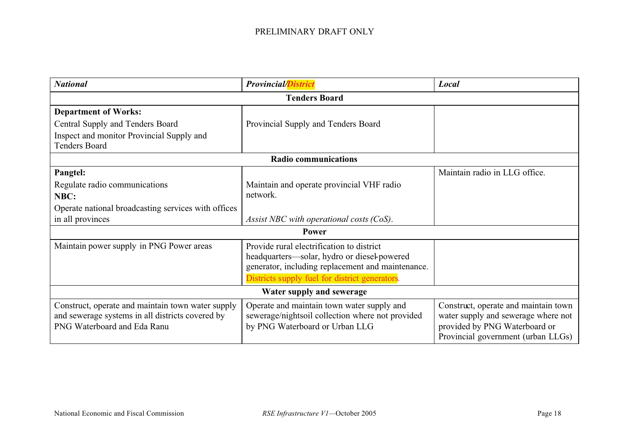| <b>National</b>                                                                                                                      | <b>Provincial/District</b>                                                                                                                                                                      | Local                                                                                                                                              |
|--------------------------------------------------------------------------------------------------------------------------------------|-------------------------------------------------------------------------------------------------------------------------------------------------------------------------------------------------|----------------------------------------------------------------------------------------------------------------------------------------------------|
|                                                                                                                                      | <b>Tenders Board</b>                                                                                                                                                                            |                                                                                                                                                    |
| <b>Department of Works:</b>                                                                                                          |                                                                                                                                                                                                 |                                                                                                                                                    |
| Central Supply and Tenders Board                                                                                                     | Provincial Supply and Tenders Board                                                                                                                                                             |                                                                                                                                                    |
| Inspect and monitor Provincial Supply and<br><b>Tenders Board</b>                                                                    |                                                                                                                                                                                                 |                                                                                                                                                    |
|                                                                                                                                      | <b>Radio communications</b>                                                                                                                                                                     |                                                                                                                                                    |
| Pangtel:                                                                                                                             |                                                                                                                                                                                                 | Maintain radio in LLG office.                                                                                                                      |
| Regulate radio communications                                                                                                        | Maintain and operate provincial VHF radio                                                                                                                                                       |                                                                                                                                                    |
| NBC:                                                                                                                                 | network.                                                                                                                                                                                        |                                                                                                                                                    |
| Operate national broadcasting services with offices                                                                                  |                                                                                                                                                                                                 |                                                                                                                                                    |
| in all provinces                                                                                                                     | Assist NBC with operational costs (CoS).                                                                                                                                                        |                                                                                                                                                    |
|                                                                                                                                      | <b>Power</b>                                                                                                                                                                                    |                                                                                                                                                    |
| Maintain power supply in PNG Power areas                                                                                             | Provide rural electrification to district<br>headquarters—solar, hydro or diesel-powered<br>generator, including replacement and maintenance.<br>Districts supply fuel for district generators. |                                                                                                                                                    |
| Water supply and sewerage                                                                                                            |                                                                                                                                                                                                 |                                                                                                                                                    |
| Construct, operate and maintain town water supply<br>and sewerage systems in all districts covered by<br>PNG Waterboard and Eda Ranu | Operate and maintain town water supply and<br>sewerage/nightsoil collection where not provided<br>by PNG Waterboard or Urban LLG                                                                | Construct, operate and maintain town<br>water supply and sewerage where not<br>provided by PNG Waterboard or<br>Provincial government (urban LLGs) |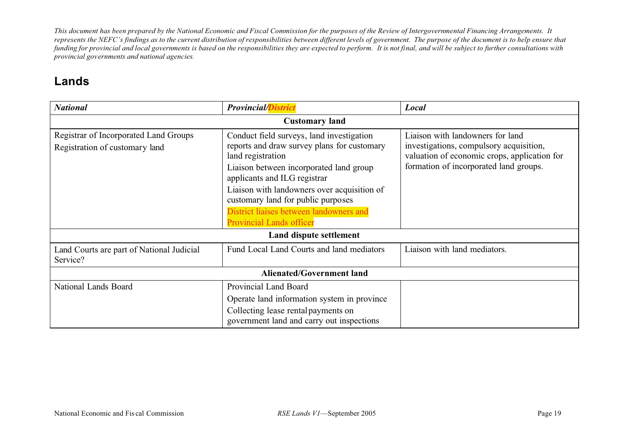### **Lands**

| <b>National</b>                                                         | <b>Provincial/District</b>                                                                                                                                                                                                                                                                                                                                  | Local                                                                                                                                                                 |  |
|-------------------------------------------------------------------------|-------------------------------------------------------------------------------------------------------------------------------------------------------------------------------------------------------------------------------------------------------------------------------------------------------------------------------------------------------------|-----------------------------------------------------------------------------------------------------------------------------------------------------------------------|--|
| <b>Customary land</b>                                                   |                                                                                                                                                                                                                                                                                                                                                             |                                                                                                                                                                       |  |
| Registrar of Incorporated Land Groups<br>Registration of customary land | Conduct field surveys, land investigation<br>reports and draw survey plans for customary<br>land registration<br>Liaison between incorporated land group<br>applicants and ILG registrar<br>Liaison with landowners over acquisition of<br>customary land for public purposes<br>District liaises between landowners and<br><b>Provincial Lands officer</b> | Liaison with landowners for land<br>investigations, compulsory acquisition,<br>valuation of economic crops, application for<br>formation of incorporated land groups. |  |
|                                                                         | Land dispute settlement                                                                                                                                                                                                                                                                                                                                     |                                                                                                                                                                       |  |
| Land Courts are part of National Judicial<br>Service?                   | Fund Local Land Courts and land mediators                                                                                                                                                                                                                                                                                                                   | Liaison with land mediators.                                                                                                                                          |  |
| <b>Alienated/Government land</b>                                        |                                                                                                                                                                                                                                                                                                                                                             |                                                                                                                                                                       |  |
| National Lands Board                                                    | Provincial Land Board<br>Operate land information system in province<br>Collecting lease rental payments on<br>government land and carry out inspections                                                                                                                                                                                                    |                                                                                                                                                                       |  |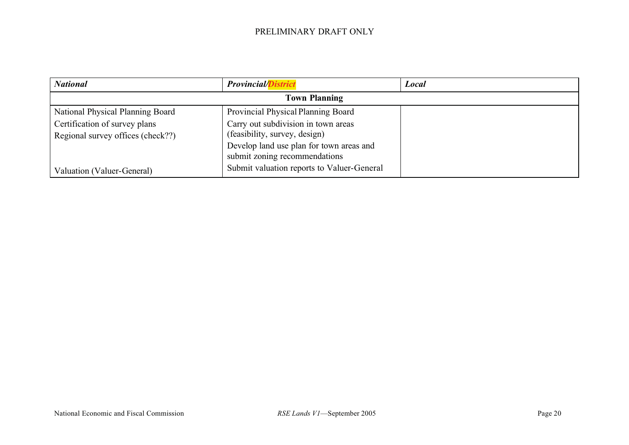| <b>National</b>                                                    | <b>Provincial/District</b>                                                | <b>Local</b> |
|--------------------------------------------------------------------|---------------------------------------------------------------------------|--------------|
|                                                                    | <b>Town Planning</b>                                                      |              |
| National Physical Planning Board                                   | Provincial Physical Planning Board                                        |              |
| Certification of survey plans<br>Regional survey offices (check??) | Carry out subdivision in town areas<br>(feasibility, survey, design)      |              |
|                                                                    | Develop land use plan for town areas and<br>submit zoning recommendations |              |
| Valuation (Valuer-General)                                         | Submit valuation reports to Valuer-General                                |              |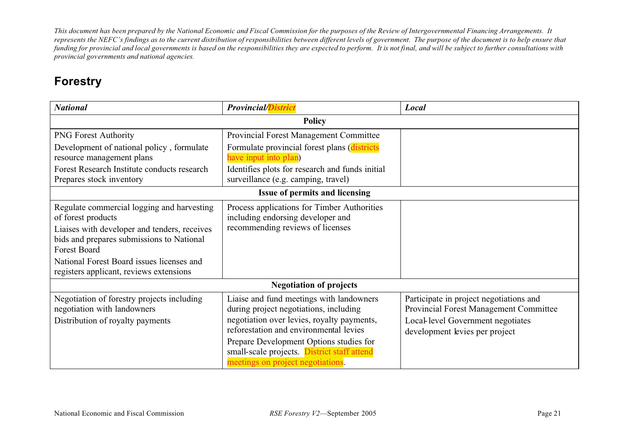### **Forestry**

| <b>National</b>                                                                                                                                                                                                                                                       | <b>Provincial/District</b>                                                                                                                                                                                                                                                                                | Local                                                                                                                                                    |  |
|-----------------------------------------------------------------------------------------------------------------------------------------------------------------------------------------------------------------------------------------------------------------------|-----------------------------------------------------------------------------------------------------------------------------------------------------------------------------------------------------------------------------------------------------------------------------------------------------------|----------------------------------------------------------------------------------------------------------------------------------------------------------|--|
| <b>Policy</b>                                                                                                                                                                                                                                                         |                                                                                                                                                                                                                                                                                                           |                                                                                                                                                          |  |
| <b>PNG Forest Authority</b>                                                                                                                                                                                                                                           | Provincial Forest Management Committee                                                                                                                                                                                                                                                                    |                                                                                                                                                          |  |
| Development of national policy, formulate<br>resource management plans                                                                                                                                                                                                | Formulate provincial forest plans (districts<br>have input into plan)                                                                                                                                                                                                                                     |                                                                                                                                                          |  |
| Forest Research Institute conducts research<br>Prepares stock inventory                                                                                                                                                                                               | Identifies plots for research and funds initial<br>surveillance (e.g. camping, travel)                                                                                                                                                                                                                    |                                                                                                                                                          |  |
|                                                                                                                                                                                                                                                                       | Issue of permits and licensing                                                                                                                                                                                                                                                                            |                                                                                                                                                          |  |
| Regulate commercial logging and harvesting<br>of forest products<br>Liaises with developer and tenders, receives<br>bids and prepares submissions to National<br>Forest Board<br>National Forest Board issues licenses and<br>registers applicant, reviews extensions | Process applications for Timber Authorities<br>including endorsing developer and<br>recommending reviews of licenses                                                                                                                                                                                      |                                                                                                                                                          |  |
|                                                                                                                                                                                                                                                                       | <b>Negotiation of projects</b>                                                                                                                                                                                                                                                                            |                                                                                                                                                          |  |
| Negotiation of forestry projects including<br>negotiation with landowners<br>Distribution of royalty payments                                                                                                                                                         | Liaise and fund meetings with landowners<br>during project negotiations, including<br>negotiation over levies, royalty payments,<br>reforestation and environmental levies<br>Prepare Development Options studies for<br>small-scale projects. District staff attend<br>meetings on project negotiations. | Participate in project negotiations and<br>Provincial Forest Management Committee<br>Local-level Government negotiates<br>development levies per project |  |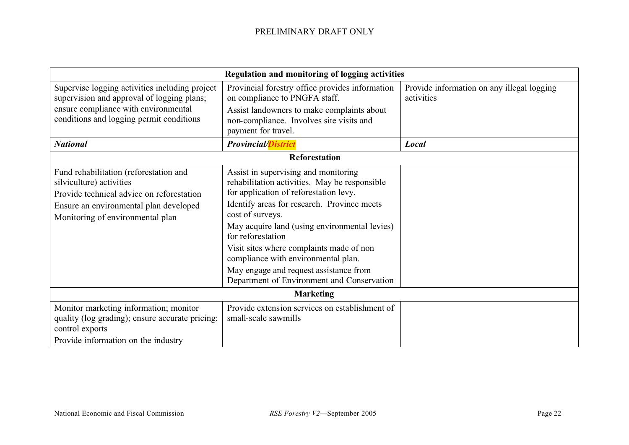| Regulation and monitoring of logging activities                                                                                                                                               |                                                                                                                                                                                                                                                                                                                                                                                                                                                     |                                                          |
|-----------------------------------------------------------------------------------------------------------------------------------------------------------------------------------------------|-----------------------------------------------------------------------------------------------------------------------------------------------------------------------------------------------------------------------------------------------------------------------------------------------------------------------------------------------------------------------------------------------------------------------------------------------------|----------------------------------------------------------|
| Supervise logging activities including project<br>supervision and approval of logging plans;<br>ensure compliance with environmental                                                          | Provincial forestry office provides information<br>on compliance to PNGFA staff.                                                                                                                                                                                                                                                                                                                                                                    | Provide information on any illegal logging<br>activities |
| conditions and logging permit conditions                                                                                                                                                      | Assist landowners to make complaints about<br>non-compliance. Involves site visits and<br>payment for travel.                                                                                                                                                                                                                                                                                                                                       |                                                          |
| <b>National</b>                                                                                                                                                                               | <b>Provincial/District</b>                                                                                                                                                                                                                                                                                                                                                                                                                          | Local                                                    |
|                                                                                                                                                                                               | <b>Reforestation</b>                                                                                                                                                                                                                                                                                                                                                                                                                                |                                                          |
| Fund rehabilitation (reforestation and<br>silviculture) activities<br>Provide technical advice on reforestation<br>Ensure an environmental plan developed<br>Monitoring of environmental plan | Assist in supervising and monitoring<br>rehabilitation activities. May be responsible<br>for application of reforestation levy.<br>Identify areas for research. Province meets<br>cost of surveys.<br>May acquire land (using environmental levies)<br>for reforestation<br>Visit sites where complaints made of non<br>compliance with environmental plan.<br>May engage and request assistance from<br>Department of Environment and Conservation |                                                          |
| <b>Marketing</b>                                                                                                                                                                              |                                                                                                                                                                                                                                                                                                                                                                                                                                                     |                                                          |
| Monitor marketing information; monitor<br>quality (log grading); ensure accurate pricing;<br>control exports<br>Provide information on the industry                                           | Provide extension services on establishment of<br>small-scale sawmills                                                                                                                                                                                                                                                                                                                                                                              |                                                          |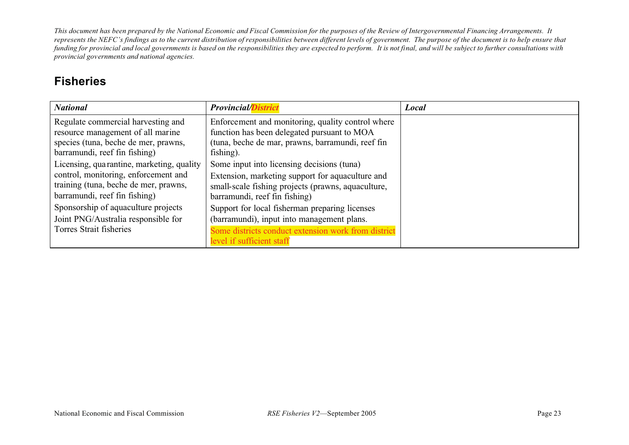### **Fisheries**

| <b>National</b>                                                           | <b>Provincial/District</b>                                                                       | Local |
|---------------------------------------------------------------------------|--------------------------------------------------------------------------------------------------|-------|
| Regulate commercial harvesting and                                        | Enforcement and monitoring, quality control where                                                |       |
| resource management of all marine<br>species (tuna, beche de mer, prawns, | function has been delegated pursuant to MOA<br>(tuna, beche de mar, prawns, barramundi, reef fin |       |
| barramundi, reef fin fishing)                                             | fishing).                                                                                        |       |
| Licensing, quarantine, marketing, quality                                 | Some input into licensing decisions (tuna)                                                       |       |
| control, monitoring, enforcement and                                      | Extension, marketing support for aquaculture and                                                 |       |
| training (tuna, beche de mer, prawns,<br>barramundi, reef fin fishing)    | small-scale fishing projects (prawns, aquaculture,<br>barramundi, reef fin fishing)              |       |
| Sponsorship of aquaculture projects                                       | Support for local fisherman preparing licenses                                                   |       |
| Joint PNG/Australia responsible for                                       | (barramundi), input into management plans.                                                       |       |
| Torres Strait fisheries                                                   | Some districts conduct extension work from district                                              |       |
|                                                                           | level if sufficient staff                                                                        |       |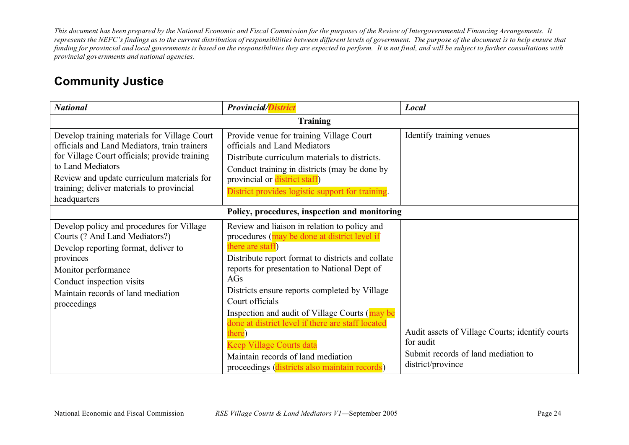### **Community Justice**

| <b>National</b>                                                                                                                                                                                                                                                               | <b>Provincial/District</b>                                                                                                                                                                                                                                                                                                                                                                                                                                                                                                           | Local                                                                                                                    |  |
|-------------------------------------------------------------------------------------------------------------------------------------------------------------------------------------------------------------------------------------------------------------------------------|--------------------------------------------------------------------------------------------------------------------------------------------------------------------------------------------------------------------------------------------------------------------------------------------------------------------------------------------------------------------------------------------------------------------------------------------------------------------------------------------------------------------------------------|--------------------------------------------------------------------------------------------------------------------------|--|
| <b>Training</b>                                                                                                                                                                                                                                                               |                                                                                                                                                                                                                                                                                                                                                                                                                                                                                                                                      |                                                                                                                          |  |
| Develop training materials for Village Court<br>officials and Land Mediators, train trainers<br>for Village Court officials; provide training<br>to Land Mediators<br>Review and update curriculum materials for<br>training; deliver materials to provincial<br>headquarters | Provide venue for training Village Court<br>officials and Land Mediators<br>Distribute curriculum materials to districts.<br>Conduct training in districts (may be done by<br>provincial or district staff)<br>District provides logistic support for training.                                                                                                                                                                                                                                                                      | Identify training venues                                                                                                 |  |
|                                                                                                                                                                                                                                                                               | Policy, procedures, inspection and monitoring                                                                                                                                                                                                                                                                                                                                                                                                                                                                                        |                                                                                                                          |  |
| Develop policy and procedures for Village<br>Courts (? And Land Mediators?)<br>Develop reporting format, deliver to<br>provinces<br>Monitor performance<br>Conduct inspection visits<br>Maintain records of land mediation<br>proceedings                                     | Review and liaison in relation to policy and<br>procedures (may be done at district level if<br>there are staff)<br>Distribute report format to districts and collate<br>reports for presentation to National Dept of<br>AGs<br>Districts ensure reports completed by Village<br>Court officials<br>Inspection and audit of Village Courts (may be<br>done at district level if there are staff located<br>there)<br>Keep Village Courts data<br>Maintain records of land mediation<br>proceedings (districts also maintain records) | Audit assets of Village Courts; identify courts<br>for audit<br>Submit records of land mediation to<br>district/province |  |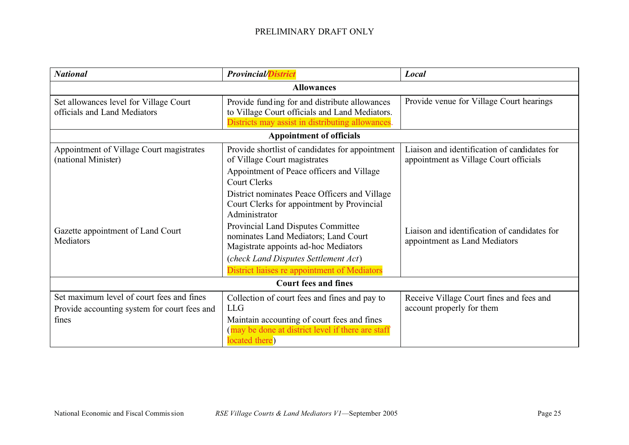| <b>National</b>                                                                                    | <b>Provincial/District</b>                                                                                                                                                                                                                                                                                                 | Local                                                                                  |  |
|----------------------------------------------------------------------------------------------------|----------------------------------------------------------------------------------------------------------------------------------------------------------------------------------------------------------------------------------------------------------------------------------------------------------------------------|----------------------------------------------------------------------------------------|--|
|                                                                                                    | <b>Allowances</b>                                                                                                                                                                                                                                                                                                          |                                                                                        |  |
| Set allowances level for Village Court<br>officials and Land Mediators                             | Provide funding for and distribute allowances<br>to Village Court officials and Land Mediators.<br>Districts may assist in distributing allowances.                                                                                                                                                                        | Provide venue for Village Court hearings                                               |  |
|                                                                                                    | <b>Appointment of officials</b>                                                                                                                                                                                                                                                                                            |                                                                                        |  |
| Appointment of Village Court magistrates<br>(national Minister)                                    | Provide shortlist of candidates for appointment<br>of Village Court magistrates<br>Appointment of Peace officers and Village<br><b>Court Clerks</b>                                                                                                                                                                        | Liaison and identification of candidates for<br>appointment as Village Court officials |  |
| Gazette appointment of Land Court<br>Mediators                                                     | District nominates Peace Officers and Village<br>Court Clerks for appointment by Provincial<br>Administrator<br>Provincial Land Disputes Committee<br>nominates Land Mediators; Land Court<br>Magistrate appoints ad-hoc Mediators<br>(check Land Disputes Settlement Act)<br>District liaises re appointment of Mediators | Liaison and identification of candidates for<br>appointment as Land Mediators          |  |
| <b>Court fees and fines</b>                                                                        |                                                                                                                                                                                                                                                                                                                            |                                                                                        |  |
| Set maximum level of court fees and fines<br>Provide accounting system for court fees and<br>fines | Collection of court fees and fines and pay to<br><b>LLG</b><br>Maintain accounting of court fees and fines<br>(may be done at district level if there are staff<br>located there)                                                                                                                                          | Receive Village Court fines and fees and<br>account properly for them                  |  |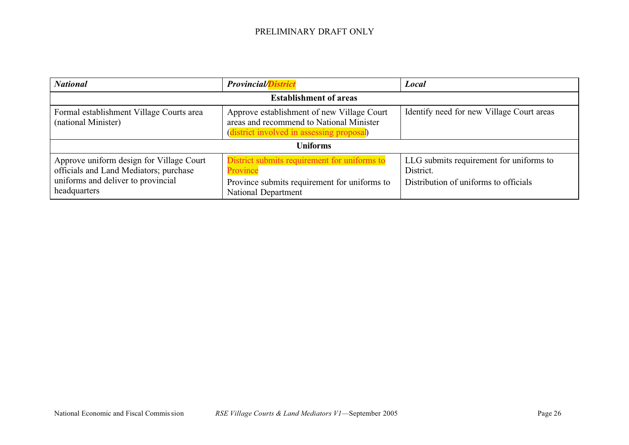| <b>National</b>                                                                                                                          | <b>Provincial/District</b>                                                                                                         | Local                                                                                         |
|------------------------------------------------------------------------------------------------------------------------------------------|------------------------------------------------------------------------------------------------------------------------------------|-----------------------------------------------------------------------------------------------|
|                                                                                                                                          | <b>Establishment of areas</b>                                                                                                      |                                                                                               |
| Formal establishment Village Courts area<br>(national Minister)                                                                          | Approve establishment of new Village Court<br>areas and recommend to National Minister<br>district involved in assessing proposal) | Identify need for new Village Court areas                                                     |
| <b>Uniforms</b>                                                                                                                          |                                                                                                                                    |                                                                                               |
| Approve uniform design for Village Court<br>officials and Land Mediators; purchase<br>uniforms and deliver to provincial<br>headquarters | District submits requirement for uniforms to<br>Province<br>Province submits requirement for uniforms to<br>National Department    | LLG submits requirement for uniforms to<br>District.<br>Distribution of uniforms to officials |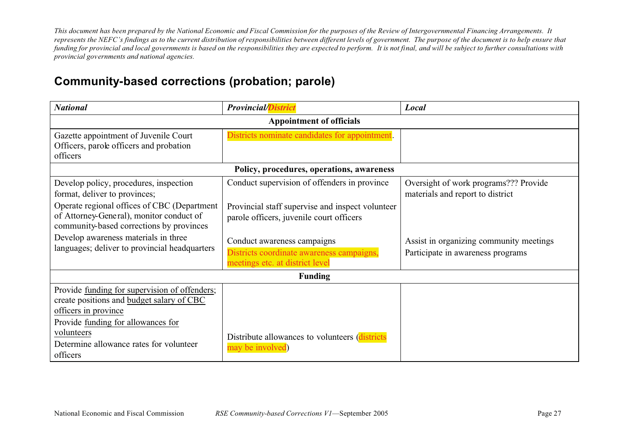### **Community-based corrections (probation; parole)**

| <b>National</b>                                                                                                                                                                                                               | <b>Provincial/District</b>                                                                                  | Local                                                                        |
|-------------------------------------------------------------------------------------------------------------------------------------------------------------------------------------------------------------------------------|-------------------------------------------------------------------------------------------------------------|------------------------------------------------------------------------------|
|                                                                                                                                                                                                                               | <b>Appointment of officials</b>                                                                             |                                                                              |
| Gazette appointment of Juvenile Court<br>Officers, parole officers and probation<br>officers                                                                                                                                  | Districts nominate candidates for appointment.                                                              |                                                                              |
|                                                                                                                                                                                                                               | Policy, procedures, operations, awareness                                                                   |                                                                              |
| Develop policy, procedures, inspection<br>format, deliver to provinces;                                                                                                                                                       | Conduct supervision of offenders in province                                                                | Oversight of work programs??? Provide<br>materials and report to district    |
| Operate regional offices of CBC (Department<br>of Attorney-General), monitor conduct of<br>community-based corrections by provinces                                                                                           | Provincial staff supervise and inspect volunteer<br>parole officers, juvenile court officers                |                                                                              |
| Develop awareness materials in three<br>languages; deliver to provincial headquarters                                                                                                                                         | Conduct awareness campaigns<br>Districts coordinate awareness campaigns,<br>meetings etc. at district level | Assist in organizing community meetings<br>Participate in awareness programs |
|                                                                                                                                                                                                                               | <b>Funding</b>                                                                                              |                                                                              |
| Provide funding for supervision of offenders;<br>create positions and budget salary of CBC<br>officers in province<br>Provide funding for allowances for<br>volunteers<br>Determine allowance rates for volunteer<br>officers | Distribute allowances to volunteers (districts<br>may be involved)                                          |                                                                              |